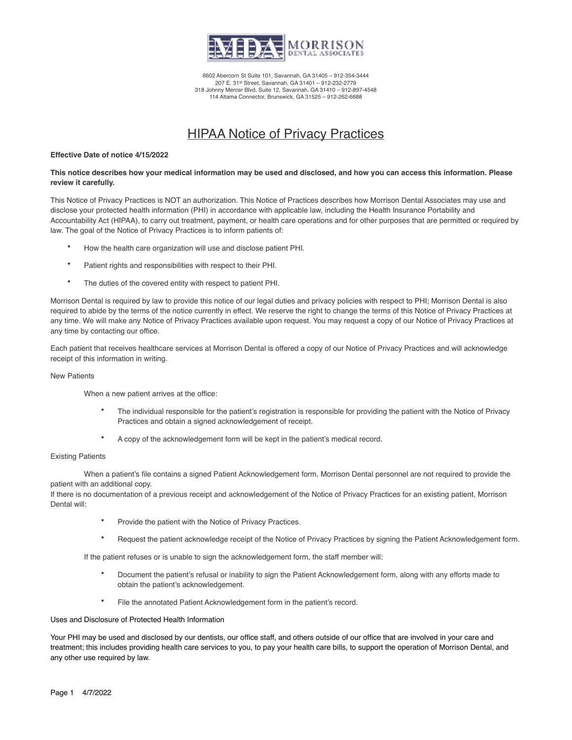

6602 Abercorn St Suite 101, Savannah, GA 31405 – 912-354-3444 207 E. 31st Street, Savannah, GA 31401 – 912-232-2779 318 Johnny Mercer Blvd. Suite 12, Savannah, GA 31410 – 912-897-4548 114 Altama Connector, Brunswick, GA 31525 – 912-262-6688

# HIPAA Notice of Privacy Practices

#### **Effective Date of notice 4/15/2022**

## **This notice describes how your medical information may be used and disclosed, and how you can access this information. Please review it carefully.**

This Notice of Privacy Practices is NOT an authorization. This Notice of Practices describes how Morrison Dental Associates may use and disclose your protected health information (PHI) in accordance with applicable law, including the Health Insurance Portability and Accountability Act (HIPAA), to carry out treatment, payment, or health care operations and for other purposes that are permitted or required by law. The goal of the Notice of Privacy Practices is to inform patients of:

- How the health care organization will use and disclose patient PHI.
- Patient rights and responsibilities with respect to their PHI.
- The duties of the covered entity with respect to patient PHI.

Morrison Dental is required by law to provide this notice of our legal duties and privacy policies with respect to PHI; Morrison Dental is also required to abide by the terms of the notice currently in effect. We reserve the right to change the terms of this Notice of Privacy Practices at any time. We will make any Notice of Privacy Practices available upon request. You may request a copy of our Notice of Privacy Practices at any time by contacting our office.

Each patient that receives healthcare services at Morrison Dental is offered a copy of our Notice of Privacy Practices and will acknowledge receipt of this information in writing.

#### New Patients

When a new patient arrives at the office:

- The individual responsible for the patient's registration is responsible for providing the patient with the Notice of Privacy Practices and obtain a signed acknowledgement of receipt.
- A copy of the acknowledgement form will be kept in the patient's medical record.

## Existing Patients

When a patient's file contains a signed Patient Acknowledgement form, Morrison Dental personnel are not required to provide the patient with an additional copy.

If there is no documentation of a previous receipt and acknowledgement of the Notice of Privacy Practices for an existing patient, Morrison Dental will:

- Provide the patient with the Notice of Privacy Practices.
- Request the patient acknowledge receipt of the Notice of Privacy Practices by signing the Patient Acknowledgement form.

If the patient refuses or is unable to sign the acknowledgement form, the staff member will:

- Document the patient's refusal or inability to sign the Patient Acknowledgement form, along with any efforts made to obtain the patient's acknowledgement.
- File the annotated Patient Acknowledgement form in the patient's record.

#### Uses and Disclosure of Protected Health Information

Your PHI may be used and disclosed by our dentists, our office staff, and others outside of our office that are involved in your care and treatment; this includes providing health care services to you, to pay your health care bills, to support the operation of Morrison Dental, and any other use required by law.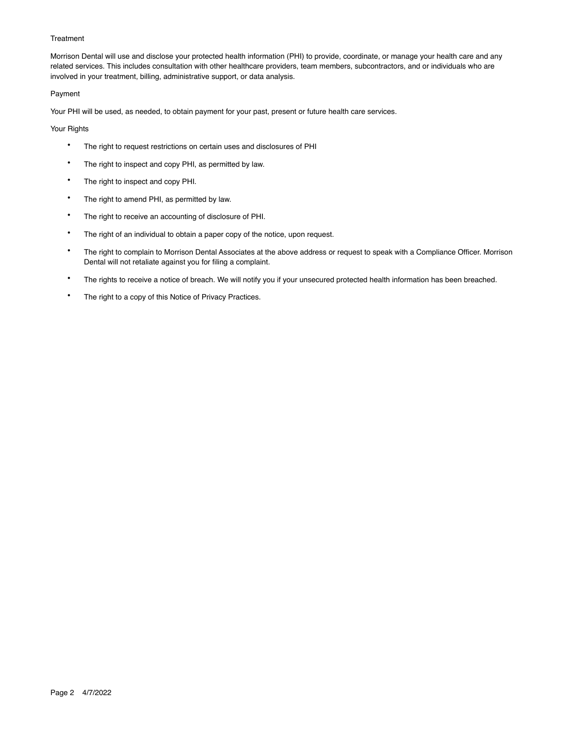## **Treatment**

Morrison Dental will use and disclose your protected health information (PHI) to provide, coordinate, or manage your health care and any related services. This includes consultation with other healthcare providers, team members, subcontractors, and or individuals who are involved in your treatment, billing, administrative support, or data analysis.

## Payment

Your PHI will be used, as needed, to obtain payment for your past, present or future health care services.

## Your Rights

- The right to request restrictions on certain uses and disclosures of PHI
- The right to inspect and copy PHI, as permitted by law.
- The right to inspect and copy PHI.
- The right to amend PHI, as permitted by law.
- The right to receive an accounting of disclosure of PHI.
- The right of an individual to obtain a paper copy of the notice, upon request.
- The right to complain to Morrison Dental Associates at the above address or request to speak with a Compliance Officer. Morrison Dental will not retaliate against you for filing a complaint.
- The rights to receive a notice of breach. We will notify you if your unsecured protected health information has been breached.
- The right to a copy of this Notice of Privacy Practices.